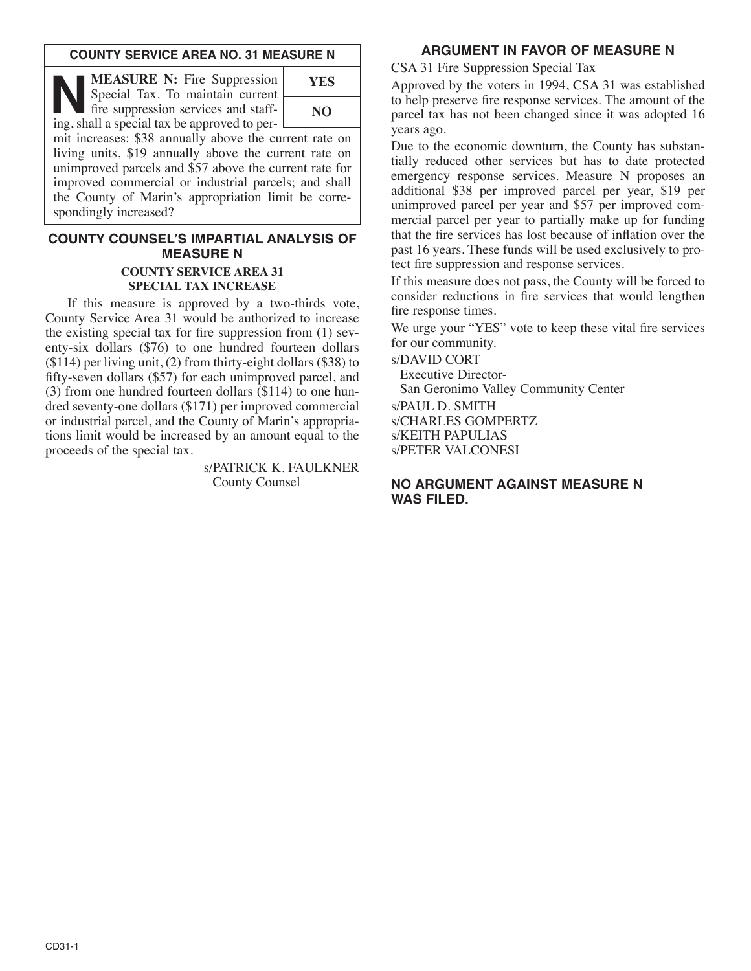#### **COUNTY SERVICE AREA NO. 31 MEASURE N**

**NEASURE N:** Fire Suppression<br>
Special Tax. To maintain current<br>
fire suppression services and staff-<br>
ing shall a special tax be approved to per Special Tax. To maintain current ing, shall a special tax be approved to per-



mit increases: \$38 annually above the current rate on living units, \$19 annually above the current rate on unimproved parcels and \$57 above the current rate for improved commercial or industrial parcels; and shall the County of Marin's appropriation limit be correspondingly increased?

# **COUNTY COUNSEL'S IMPARTIAL ANALYSIS OF MEASURE N**

#### **COUNTY SERVICE AREA 31 SPECIAL TAX INCREASE**

If this measure is approved by a two-thirds vote, County Service Area 31 would be authorized to increase the existing special tax for fire suppression from (1) seventy-six dollars (\$76) to one hundred fourteen dollars (\$114) per living unit, (2) from thirty-eight dollars (\$38) to fifty-seven dollars (\$57) for each unimproved parcel, and (3) from one hundred fourteen dollars (\$114) to one hundred seventy-one dollars (\$171) per improved commercial or industrial parcel, and the County of Marin's appropriations limit would be increased by an amount equal to the proceeds of the special tax.

> s/PATRICK K. FAULKNER County Counsel

# **ARGUMENT IN FAVOR OF MEASURE N**

CSA 31 Fire Suppression Special Tax

Approved by the voters in 1994, CSA 31 was established to help preserve fire response services. The amount of the parcel tax has not been changed since it was adopted 16 years ago.

Due to the economic downturn, the County has substantially reduced other services but has to date protected emergency response services. Measure N proposes an additional \$38 per improved parcel per year, \$19 per unimproved parcel per year and \$57 per improved commercial parcel per year to partially make up for funding that the fire services has lost because of inflation over the past 16 years. These funds will be used exclusively to protect fire suppression and response services.

If this measure does not pass, the County will be forced to consider reductions in fire services that would lengthen fire response times.

We urge your "YES" vote to keep these vital fire services for our community.

s/DAVID CORT

Executive Director-

San Geronimo Valley Community Center

s/PAUL D. SMITH

s/CHARLES GOMPERTZ

s/KEITH PAPULIAS s/PETER VALCONESI

#### **NO ARGUMENT AGAINST MEASURE N WAS FILED.**